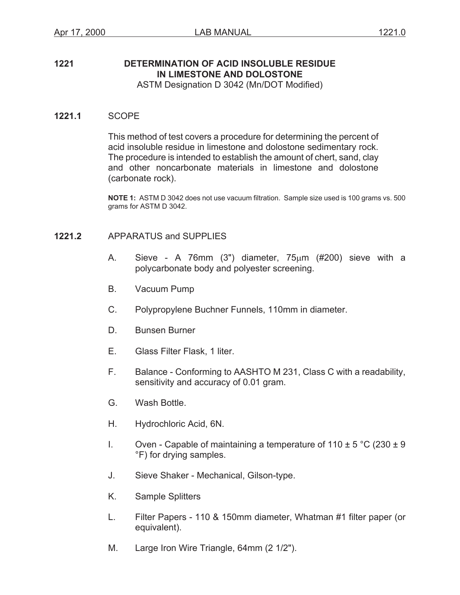# **1221 DETERMINATION OF ACID INSOLUBLE RESIDUE IN LIMESTONE AND DOLOSTONE**

ASTM Designation D 3042 (Mn/DOT Modified)

#### **1221.1** SCOPE

This method of test covers a procedure for determining the percent of acid insoluble residue in limestone and dolostone sedimentary rock. The procedure is intended to establish the amount of chert, sand, clay and other noncarbonate materials in limestone and dolostone (carbonate rock).

**NOTE 1:** ASTM D 3042 does not use vacuum filtration. Sample size used is 100 grams vs. 500 grams for ASTM D 3042.

### **1221.2** APPARATUS and SUPPLIES

- A. Sieve A 76mm (3") diameter,  $75\mu m$  (#200) sieve with a polycarbonate body and polyester screening.
- B. Vacuum Pump
- C. Polypropylene Buchner Funnels, 110mm in diameter.
- D. Bunsen Burner
- E. Glass Filter Flask, 1 liter.
- F. Balance Conforming to AASHTO M 231, Class C with a readability, sensitivity and accuracy of 0.01 gram.
- G. Wash Bottle.
- H. Hydrochloric Acid, 6N.
- I. Oven Capable of maintaining a temperature of  $110 \pm 5$  °C (230  $\pm$  9 °F) for drying samples.
- J. Sieve Shaker Mechanical, Gilson-type.
- K. Sample Splitters
- L. Filter Papers 110 & 150mm diameter, Whatman #1 filter paper (or equivalent).
- M. Large Iron Wire Triangle, 64mm (2 1/2").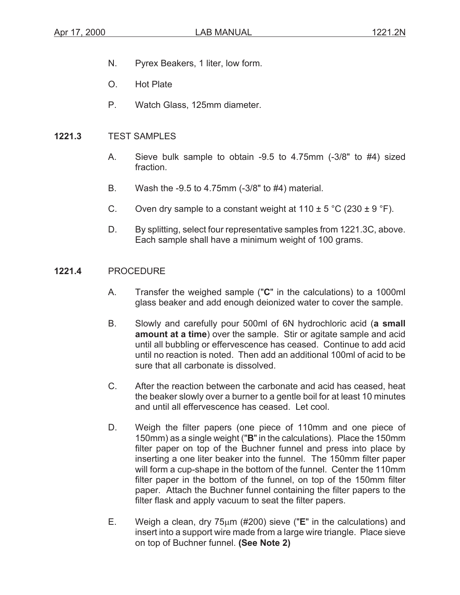- N. Pyrex Beakers, 1 liter, low form.
- O. Hot Plate
- P. Watch Glass, 125mm diameter.

#### **1221.3** TEST SAMPLES

- A. Sieve bulk sample to obtain -9.5 to 4.75mm (-3/8" to #4) sized fraction.
- B. Wash the -9.5 to 4.75mm (-3/8" to #4) material.
- C. Oven dry sample to a constant weight at  $110 \pm 5$  °C (230  $\pm$  9 °F).
- D. By splitting, select four representative samples from 1221.3C, above. Each sample shall have a minimum weight of 100 grams.

#### **1221.4** PROCEDURE

- A. Transfer the weighed sample ("**C**" in the calculations) to a 1000ml glass beaker and add enough deionized water to cover the sample.
- B. Slowly and carefully pour 500ml of 6N hydrochloric acid (**a small amount at a time**) over the sample. Stir or agitate sample and acid until all bubbling or effervescence has ceased. Continue to add acid until no reaction is noted. Then add an additional 100ml of acid to be sure that all carbonate is dissolved.
- C. After the reaction between the carbonate and acid has ceased, heat the beaker slowly over a burner to a gentle boil for at least 10 minutes and until all effervescence has ceased. Let cool.
- D. Weigh the filter papers (one piece of 110mm and one piece of 150mm) as a single weight ("**B**" in the calculations). Place the 150mm filter paper on top of the Buchner funnel and press into place by inserting a one liter beaker into the funnel. The 150mm filter paper will form a cup-shape in the bottom of the funnel. Center the 110mm filter paper in the bottom of the funnel, on top of the 150mm filter paper. Attach the Buchner funnel containing the filter papers to the filter flask and apply vacuum to seat the filter papers.
- E. Weigh a clean, dry 75 $\mu$ m (#200) sieve ("**E**" in the calculations) and insert into a support wire made from a large wire triangle. Place sieve on top of Buchner funnel. **(See Note 2)**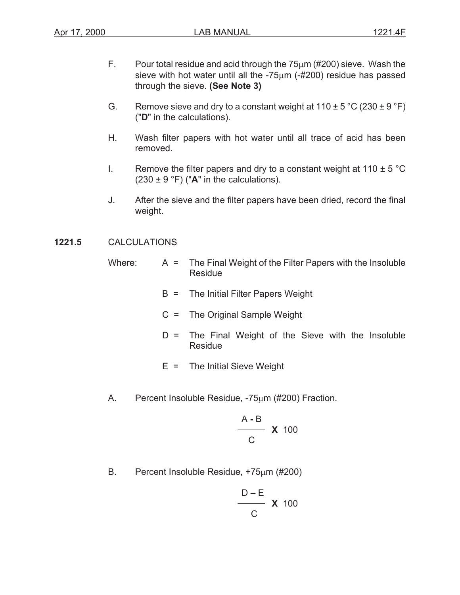- F. Pour total residue and acid through the  $75\mu$ m (#200) sieve. Wash the sieve with hot water until all the  $-75\mu m$  ( $-#200$ ) residue has passed through the sieve. **(See Note 3)**
- G. Remove sieve and dry to a constant weight at  $110 \pm 5^{\circ}$ C (230  $\pm$  9  $^{\circ}$ F) ("**D**" in the calculations).
- H. Wash filter papers with hot water until all trace of acid has been removed.
- I. Remove the filter papers and dry to a constant weight at  $110 \pm 5$  °C  $(230 \pm 9 \degree F)$  ("A" in the calculations).
- J. After the sieve and the filter papers have been dried, record the final weight.

## **1221.5** CALCULATIONS

- Where:  $A = \text{The Final Weight of the Filter Papers with the Insoluble}$ Residue
	- B = The Initial Filter Papers Weight
	- C = The Original Sample Weight
	- D = The Final Weight of the Sieve with the Insoluble Residue
	- $E =$  The Initial Sieve Weight
- A. Percent Insoluble Residue, -75um (#200) Fraction.

$$
\frac{\mathsf{A-B}}{\mathsf{C}} \mathsf{X} \quad \text{100}
$$

B. Percent Insoluble Residue, +75um (#200)

$$
\frac{\mathsf{D-E}}{\mathsf{C}} \mathsf{X} \; \mathsf{100}
$$